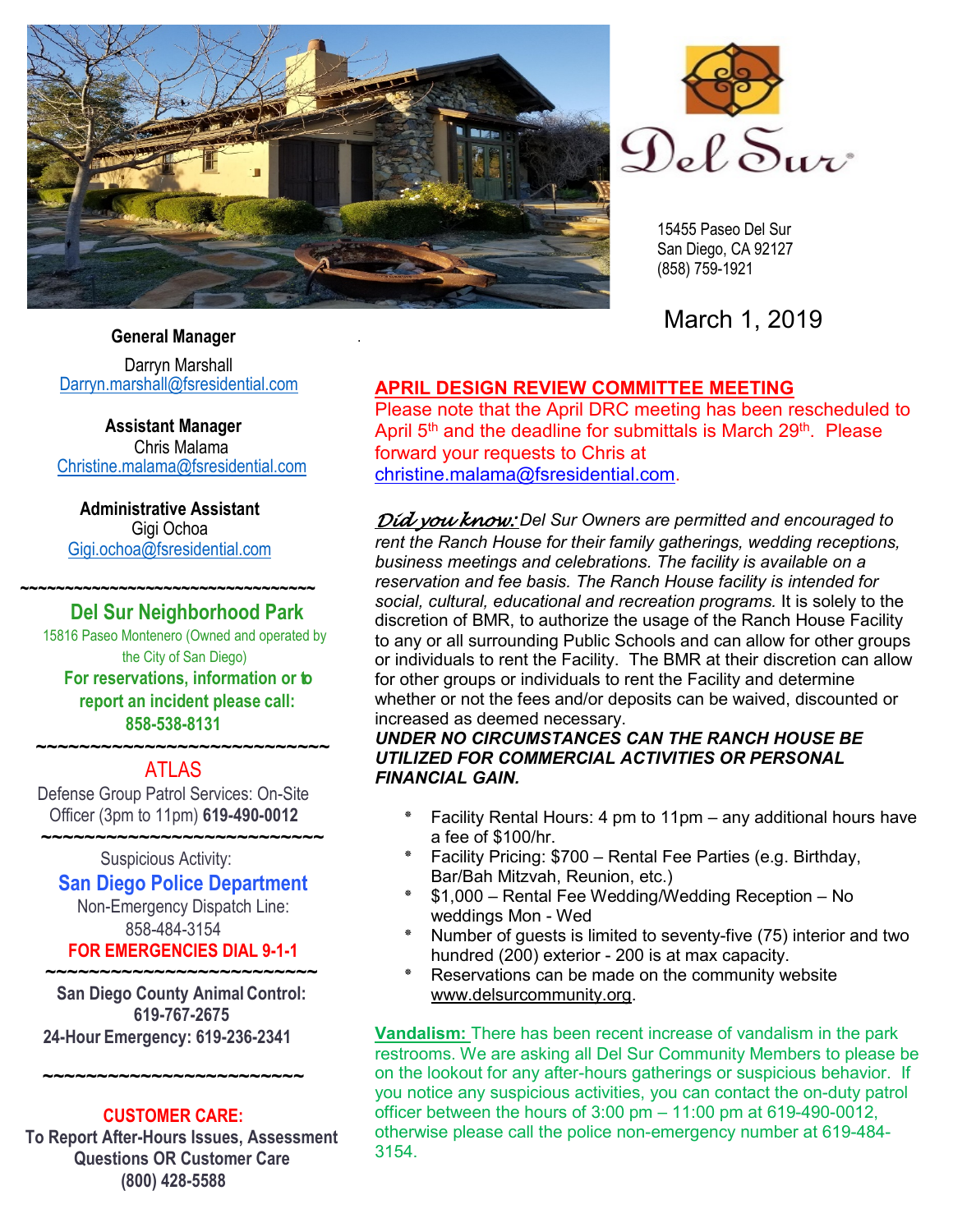



15455 Paseo Del Sur San Diego, CA 92127 (858) 759-1921

March 1, 2019

## **General Manager**

Darryn Marshall [Darryn.marshall@fsresidential.com](mailto:Darryn.marshall@fsresidential.com)

**Assistant Manager** Chris Malama [Christine.malama@fsresidential.com](mailto:Christine.malama@fsresidential.com)

**Administrative Assistant**  Gigi Ochoa [Gigi.ochoa@fsresidential.com](mailto:Gigi.ochoa@fsresidential.com)

**~~~~~~~~~~~~~~~~~~~~~~~~~~~~~~~~~**

## **Del Sur Neighborhood Park**

15816 Paseo Montenero (Owned and operated by the City of San Diego) **For reservations, information or to report an incident please call: 858-538-8131**

## **~~~~~~~~~~~~~~~~~~~~~~~~~~~** ATLAS

Defense Group Patrol Services: On-Site Officer (3pm to 11pm) **619-490-0012**

#### **~~~~~~~~~~~~~~~~~~~~~~~~~~** Suspicious Activity:

**San Diego Police Department** Non-Emergency Dispatch Line: 858-484-3154 **FOR EMERGENCIES DIAL 9-1-1**

**~~~~~~~~~~~~~~~~~~~~~~~~~ San Diego County Animal Control: 619-767-2675 24-Hour Emergency: 619-236-2341**

## **CUSTOMER CARE:**

**~~~~~~~~~~~~~~~~~~~~~~~~**

**To Report After-Hours Issues, Assessment Questions OR Customer Care (800) 428-5588**

## **APRIL DESIGN REVIEW COMMITTEE MEETING**

Please note that the April DRC meeting has been rescheduled to April 5<sup>th</sup> and the deadline for submittals is March 29<sup>th</sup>. Please forward your requests to Chris at [christine.malama@fsresidential.com.](mailto:christine.malama@fsresidential.com)

*Did you know: Del Sur Owners are permitted and encouraged to rent the Ranch House for their family gatherings, wedding receptions, business meetings and celebrations. The facility is available on a reservation and fee basis. The Ranch House facility is intended for social, cultural, educational and recreation programs.* It is solely to the discretion of BMR, to authorize the usage of the Ranch House Facility to any or all surrounding Public Schools and can allow for other groups or individuals to rent the Facility. The BMR at their discretion can allow for other groups or individuals to rent the Facility and determine whether or not the fees and/or deposits can be waived, discounted or increased as deemed necessary.

### *UNDER NO CIRCUMSTANCES CAN THE RANCH HOUSE BE UTILIZED FOR COMMERCIAL ACTIVITIES OR PERSONAL FINANCIAL GAIN.*

- Facility Rental Hours: 4 pm to 11pm any additional hours have a fee of \$100/hr.
- Facility Pricing: \$700 Rental Fee Parties (e.g. Birthday, Bar/Bah Mitzvah, Reunion, etc.)
- \* \$1,000 Rental Fee Wedding/Wedding Reception No weddings Mon - Wed
- Number of guests is limited to seventy-five (75) interior and two hundred (200) exterior - 200 is at max capacity.
- Reservations can be made on the community website [www.delsurcommunity.org.](http://www.delsurcommunity.org/)

**Vandalism:** There has been recent increase of vandalism in the park restrooms. We are asking all Del Sur Community Members to please be on the lookout for any after-hours gatherings or suspicious behavior. If you notice any suspicious activities, you can contact the on-duty patrol officer between the hours of 3:00 pm – 11:00 pm at 619-490-0012, otherwise please call the police non-emergency number at 619-484- 3154.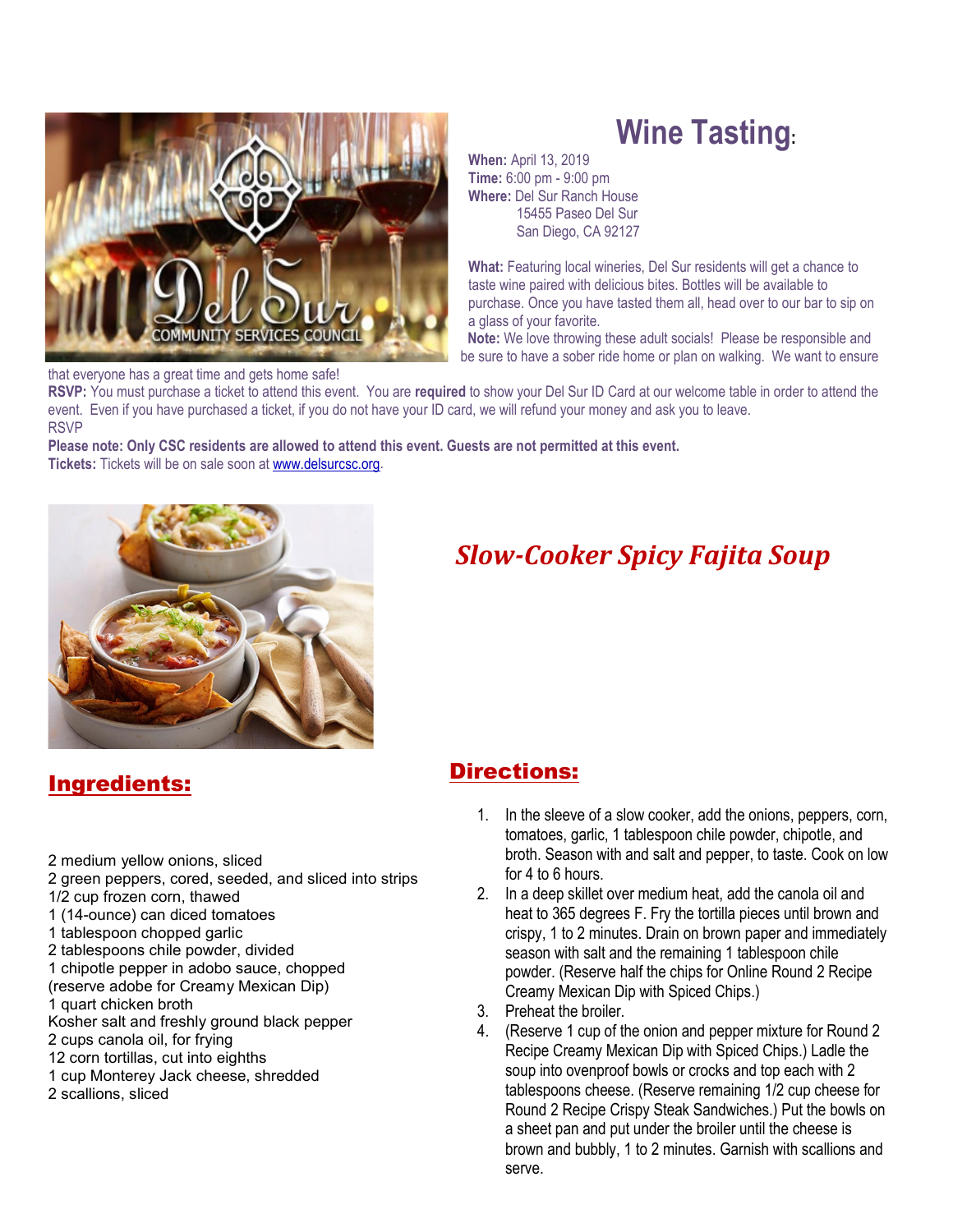

that everyone has a great time and gets home safe!

# **Wine Tasting:**

**When:** April 13, 2019 **Time:** 6:00 pm - 9:00 pm **Where:** Del Sur Ranch House 15455 Paseo Del Sur San Diego, CA 92127

**What:** Featuring local wineries, Del Sur residents will get a chance to taste wine paired with delicious bites. Bottles will be available to purchase. Once you have tasted them all, head over to our bar to sip on a glass of your favorite.

 **Note:** We love throwing these adult socials! Please be responsible and be sure to have a sober ride home or plan on walking. We want to ensure

**RSVP:** You must purchase a ticket to attend this event. You are **required** to show your Del Sur ID Card at our welcome table in order to attend the event. Even if you have purchased a ticket, if you do not have your ID card, we will refund your money and ask you to leave. RSVP

**Please note: Only CSC residents are allowed to attend this event. Guests are not permitted at this event. Tickets:** Tickets will be on sale soon a[t www.delsurcsc.org.](http://www.delsurcsc.org/)



## *Slow-Cooker Spicy Fajita Soup*

## Ingredients:

2 medium yellow onions, sliced

- 2 green peppers, cored, seeded, and sliced into strips
- 1/2 cup frozen corn, thawed
- 1 (14-ounce) can diced tomatoes
- 1 tablespoon chopped garlic
- 2 tablespoons chile powder, divided
- 1 chipotle pepper in adobo sauce, chopped
- (reserve adobe for Creamy Mexican Dip)
- 1 quart chicken broth
- Kosher salt and freshly ground black pepper
- 2 cups canola oil, for frying
- 12 corn tortillas, cut into eighths
- 1 cup Monterey Jack cheese, shredded
- 2 scallions, sliced

## Directions:

- 1. In the sleeve of a slow cooker, add the onions, peppers, corn, tomatoes, garlic, 1 tablespoon chile powder, chipotle, and broth. Season with and salt and pepper, to taste. Cook on low for 4 to 6 hours.
- 2. In a deep skillet over medium heat, add the canola oil and heat to 365 degrees F. Fry the tortilla pieces until brown and crispy, 1 to 2 minutes. Drain on brown paper and immediately season with salt and the remaining 1 tablespoon chile powder. (Reserve half the chips for Online Round 2 Recipe Creamy Mexican Dip with Spiced Chips.)
- 3. Preheat the broiler.
- 4. (Reserve 1 cup of the onion and pepper mixture for Round 2 Recipe Creamy Mexican Dip with Spiced Chips.) Ladle the soup into ovenproof bowls or crocks and top each with 2 tablespoons cheese. (Reserve remaining 1/2 cup cheese for Round 2 Recipe Crispy Steak Sandwiches.) Put the bowls on a sheet pan and put under the broiler until the cheese is brown and bubbly, 1 to 2 minutes. Garnish with scallions and serve.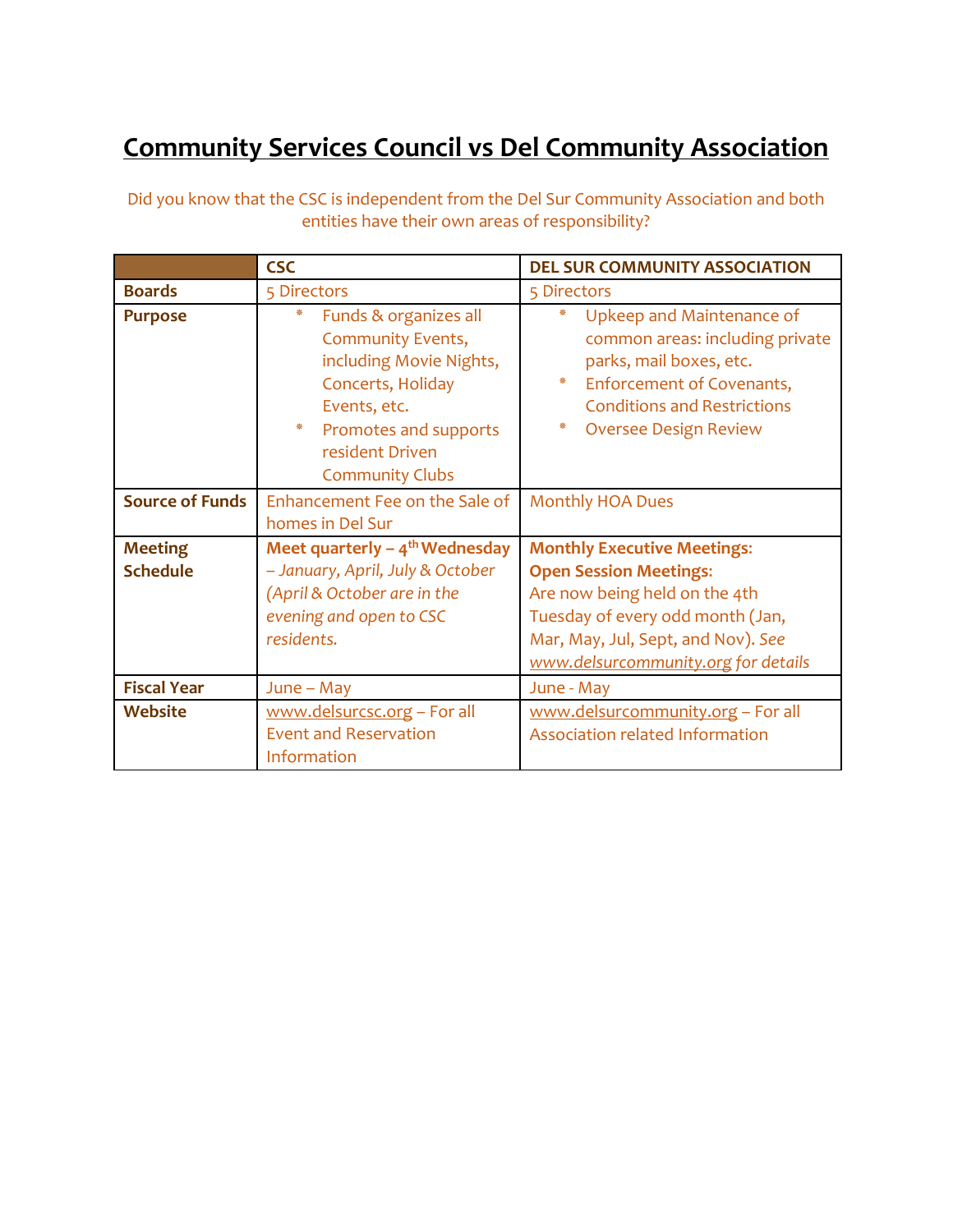## **Community Services Council vs Del Community Association**

|                        | <b>CSC</b>                                                                                                                                                                                   | <b>DEL SUR COMMUNITY ASSOCIATION</b>                                                                                                                                                            |
|------------------------|----------------------------------------------------------------------------------------------------------------------------------------------------------------------------------------------|-------------------------------------------------------------------------------------------------------------------------------------------------------------------------------------------------|
| <b>Boards</b>          | 5 Directors                                                                                                                                                                                  | 5 Directors                                                                                                                                                                                     |
| <b>Purpose</b>         | Funds & organizes all<br><b>Community Events,</b><br>including Movie Nights,<br>Concerts, Holiday<br>Events, etc.<br>*<br>Promotes and supports<br>resident Driven<br><b>Community Clubs</b> | Upkeep and Maintenance of<br>common areas: including private<br>parks, mail boxes, etc.<br>Enforcement of Covenants,<br><b>Conditions and Restrictions</b><br>₩<br><b>Oversee Design Review</b> |
| <b>Source of Funds</b> | Enhancement Fee on the Sale of                                                                                                                                                               | <b>Monthly HOA Dues</b>                                                                                                                                                                         |
|                        | homes in Del Sur                                                                                                                                                                             |                                                                                                                                                                                                 |
| <b>Meeting</b>         | Meet quarterly $-4$ <sup>th</sup> Wednesday                                                                                                                                                  | <b>Monthly Executive Meetings:</b>                                                                                                                                                              |
| <b>Schedule</b>        | - January, April, July & October                                                                                                                                                             | <b>Open Session Meetings:</b>                                                                                                                                                                   |
|                        | (April & October are in the                                                                                                                                                                  | Are now being held on the 4th                                                                                                                                                                   |
|                        | evening and open to CSC                                                                                                                                                                      | Tuesday of every odd month (Jan,                                                                                                                                                                |
|                        | residents.                                                                                                                                                                                   | Mar, May, Jul, Sept, and Nov). See                                                                                                                                                              |
|                        |                                                                                                                                                                                              | www.delsurcommunity.org for details                                                                                                                                                             |
| <b>Fiscal Year</b>     | $June - May$                                                                                                                                                                                 | June - May                                                                                                                                                                                      |
| <b>Website</b>         | www.delsurcsc.org - For all                                                                                                                                                                  | www.delsurcommunity.org - For all                                                                                                                                                               |
|                        | <b>Event and Reservation</b>                                                                                                                                                                 | Association related Information                                                                                                                                                                 |
|                        | Information                                                                                                                                                                                  |                                                                                                                                                                                                 |

Did you know that the CSC is independent from the Del Sur Community Association and both entities have their own areas of responsibility?